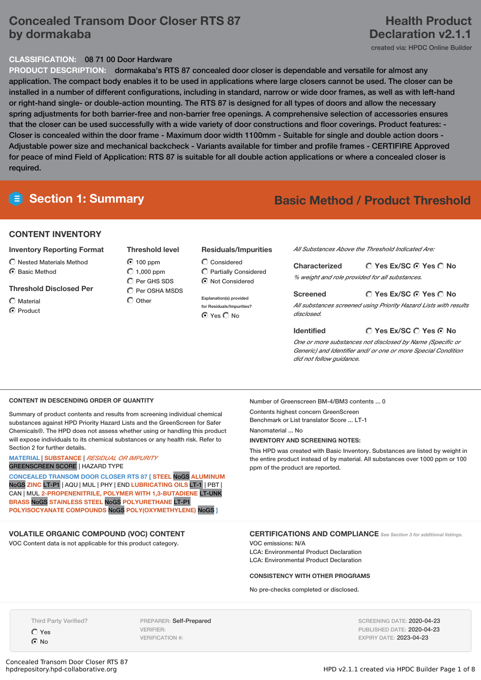# **Concealed Transom Door Closer RTS 87 by dormakaba**

# **Health Product Declaration v2.1.1**

created via: HPDC Online Builder

## **CLASSIFICATION:** 08 71 00 Door Hardware

**PRODUCT DESCRIPTION:** dormakaba's RTS 87 concealed door closer is dependable and versatile for almost any application. The compact body enables it to be used in applications where large closers cannot be used. The closer can be installed in a number of different configurations, including in standard, narrow or wide door frames, as well as with left-hand or right-hand single- or double-action mounting. The RTS 87 is designed for all types of doors and allow the necessary spring adjustments for both barrier-free and non-barrier free openings. A comprehensive selection of accessories ensures that the closer can be used successfully with a wide variety of door constructions and floor coverings. Product features: - Closer is concealed within the door frame - Maximum door width 1100mm - Suitable for single and double action doors - Adjustable power size and mechanical backcheck - Variants available for timber and profile frames - CERTIFIRE Approved for peace of mind Field of Application: RTS 87 is suitable for all double action applications or where a concealed closer is required.

# **Section 1: Summary Basic Method / Product Threshold**

## **CONTENT INVENTORY**

#### **Inventory Reporting Format**

 $\bigcirc$  Nested Materials Method **6** Basic Method

### **Threshold Disclosed Per**

- $\bigcirc$  Material
- C Product

**Threshold level** 100 ppm  $O$  1,000 ppm Per GHS SDS  $\bigcap$  Per OSHA MSDS

 $\bigcap$  Other

#### **Residuals/Impurities**

 $\bigcirc$  Considered Partially Considered  $\bigcirc$  Not Considered

**Explanation(s) provided for Residuals/Impurities?** ⊙ Yes O No

*All Substances Above the Threshold Indicated Are:*

**Yes Ex/SC Yes No Characterized** *% weight and role provided for all substances.*

## **Screened**

*All substances screened using Priority Hazard Lists with results disclosed.*

#### **Identified**

**Yes Ex/SC Yes No**

**Yes Ex/SC Yes No**

*One or more substances not disclosed by Name (Specific or Generic) and Identifier and/ or one or more Special Condition did not follow guidance.*

#### **CONTENT IN DESCENDING ORDER OF QUANTITY**

Summary of product contents and results from screening individual chemical substances against HPD Priority Hazard Lists and the GreenScreen for Safer Chemicals®. The HPD does not assess whether using or handling this product will expose individuals to its chemical substances or any health risk. Refer to Section 2 for further details.

#### **MATERIAL** | **SUBSTANCE** | *RESIDUAL OR IMPURITY* GREENSCREEN SCORE | HAZARD TYPE

**CONCEALED TRANSOM DOOR CLOSER RTS 87 [ STEEL** NoGS **ALUMINUM** NoGS **ZINC** LT-P1 | AQU | MUL | PHY | END **LUBRICATING OILS** LT-1 | PBT | CAN | MUL **2-PROPENENITRILE, POLYMER WITH 1,3-BUTADIENE** LT-UNK **BRASS** NoGS **STAINLESS STEEL** NoGS **POLYURETHANE** LT-P1 **POLYISOCYANATE COMPOUNDS** NoGS **POLY(OXYMETHYLENE)** NoGS **]**

# **VOLATILE ORGANIC COMPOUND (VOC) CONTENT**

VOC Content data is not applicable for this product category.

Number of Greenscreen BM-4/BM3 contents ... 0 Contents highest concern GreenScreen

Benchmark or List translator Score ... LT-1 Nanomaterial ... No

#### **INVENTORY AND SCREENING NOTES:**

This HPD was created with Basic Inventory. Substances are listed by weight in the entire product instead of by material. All substances over 1000 ppm or 100 ppm of the product are reported.

## **CERTIFICATIONS AND COMPLIANCE** *See Section <sup>3</sup> for additional listings.*

VOC emissions: N/A LCA: Environmental Product Declaration LCA: Environmental Product Declaration

#### **CONSISTENCY WITH OTHER PROGRAMS**

No pre-checks completed or disclosed.

Third Party Verified? Yes

No

PREPARER: Self-Prepared VERIFIER: VERIFICATION #:

SCREENING DATE: 2020-04-23 PUBLISHED DATE: 2020-04-23 EXPIRY DATE: 2023-04-23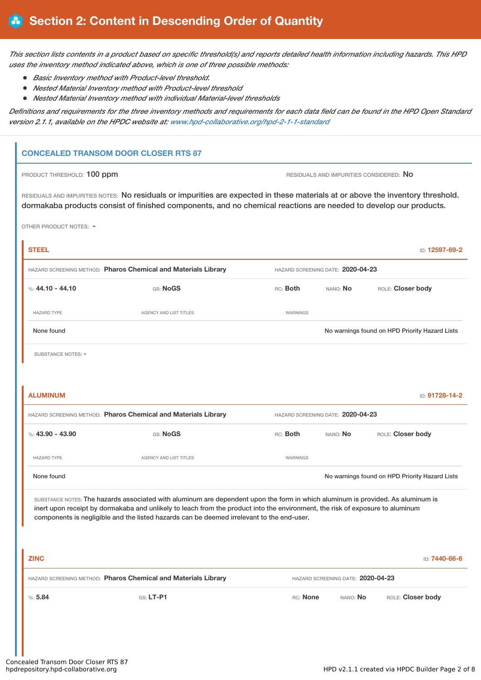This section lists contents in a product based on specific threshold(s) and reports detailed health information including hazards. This HPD *uses the inventory method indicated above, which is one of three possible methods:*

- *Basic Inventory method with Product-level threshold.*
- *Nested Material Inventory method with Product-level threshold*
- *Nested Material Inventory method with individual Material-level thresholds*

Definitions and requirements for the three inventory methods and requirements for each data field can be found in the HPD Open Standard *version 2.1.1, available on the HPDC website at: [www.hpd-collaborative.org/hpd-2-1-1-standard](https://www.hpd-collaborative.org/hpd-2-1-1-standard)*

# **CONCEALED TRANSOM DOOR CLOSER RTS 87**

PRODUCT THRESHOLD: 100 ppm **RESIDUALS** AND IMPURITIES CONSIDERED: No

RESIDUALS AND IMPURITIES NOTES: No residuals or impurities are expected in these materials at or above the inventory threshold. dormakaba products consist of finished components, and no chemical reactions are needed to develop our products.

OTHER PRODUCT NOTES: -

| <b>STEEL</b>                                                   |                        |          |                                   | ID: 12597-69-2                                 |  |  |
|----------------------------------------------------------------|------------------------|----------|-----------------------------------|------------------------------------------------|--|--|
| HAZARD SCREENING METHOD: Pharos Chemical and Materials Library |                        |          | HAZARD SCREENING DATE: 2020-04-23 |                                                |  |  |
| %: 44.10 - 44.10                                               | GS: NoGS               | RC: Both | NANO: No                          | ROLE: Closer body                              |  |  |
| <b>HAZARD TYPE</b>                                             | AGENCY AND LIST TITLES | WARNINGS |                                   |                                                |  |  |
| None found                                                     |                        |          |                                   | No warnings found on HPD Priority Hazard Lists |  |  |
| SUBSTANCE NOTES: -                                             |                        |          |                                   |                                                |  |  |
|                                                                |                        |          |                                   |                                                |  |  |
| <b>ALUMINUM</b>                                                |                        |          |                                   | ID: 91728-14-2                                 |  |  |

| HAZARD SCREENING METHOD: Pharos Chemical and Materials Library |                        |          | HAZARD SCREENING DATE: 2020-04-23 |                                                |  |  |
|----------------------------------------------------------------|------------------------|----------|-----------------------------------|------------------------------------------------|--|--|
| %: 43.90 - 43.90                                               | GS: NoGS               | RC: Both | nano: <b>No</b>                   | ROLE: Closer body                              |  |  |
| <b>HAZARD TYPE</b>                                             | AGENCY AND LIST TITLES | WARNINGS |                                   |                                                |  |  |
| None found                                                     |                        |          |                                   | No warnings found on HPD Priority Hazard Lists |  |  |

SUBSTANCE NOTES: The hazards associated with aluminum are dependent upon the form in which aluminum is provided. As aluminum is inert upon receipt by dormakaba and unlikely to leach from the product into the environment, the risk of exposure to aluminum components is negligible and the listed hazards can be deemed irrelevant to the end-user.

| <b>ZINC</b>                                                    |             |                                   |                 | D: <b>7440-66-6</b> |
|----------------------------------------------------------------|-------------|-----------------------------------|-----------------|---------------------|
| HAZARD SCREENING METHOD: Pharos Chemical and Materials Library |             | HAZARD SCREENING DATE: 2020-04-23 |                 |                     |
| %5.84                                                          | $GS: LT-PI$ | RC: None                          | nano: <b>No</b> | ROLE: Closer body   |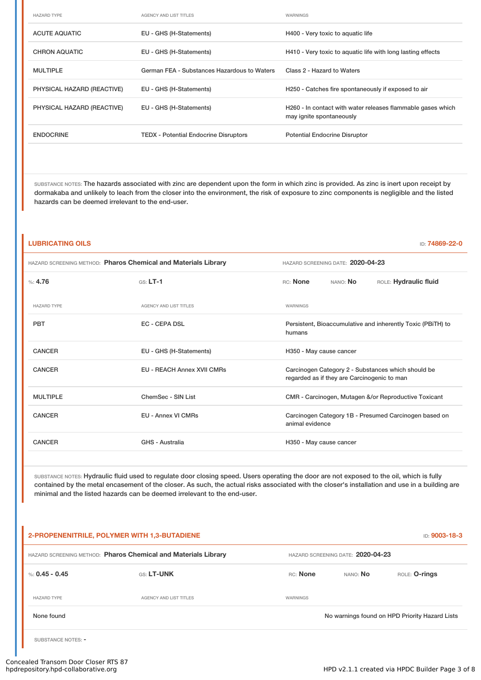| <b>HAZARD TYPE</b>         | AGENCY AND LIST TITLES                       | WARNINGS                                                                                            |
|----------------------------|----------------------------------------------|-----------------------------------------------------------------------------------------------------|
| <b>ACUTE AQUATIC</b>       | EU - GHS (H-Statements)                      | H400 - Very toxic to aquatic life                                                                   |
| <b>CHRON AQUATIC</b>       | EU - GHS (H-Statements)                      | H410 - Very toxic to aquatic life with long lasting effects                                         |
| <b>MULTIPLE</b>            | German FEA - Substances Hazardous to Waters  | Class 2 - Hazard to Waters                                                                          |
| PHYSICAL HAZARD (REACTIVE) | EU - GHS (H-Statements)                      | H250 - Catches fire spontaneously if exposed to air                                                 |
| PHYSICAL HAZARD (REACTIVE) | EU - GHS (H-Statements)                      | H <sub>260</sub> - In contact with water releases flammable gases which<br>may ignite spontaneously |
| <b>ENDOCRINE</b>           | <b>TEDX</b> - Potential Endocrine Disruptors | <b>Potential Endocrine Disruptor</b>                                                                |

SUBSTANCE NOTES: The hazards associated with zinc are dependent upon the form in which zinc is provided. As zinc is inert upon receipt by dormakaba and unlikely to leach from the closer into the environment, the risk of exposure to zinc components is negligible and the listed hazards can be deemed irrelevant to the end-user.

| <b>LUBRICATING OILS</b><br>ID: 74869-22-0                      |                                   |                                                                                                   |  |  |  |
|----------------------------------------------------------------|-----------------------------------|---------------------------------------------------------------------------------------------------|--|--|--|
| HAZARD SCREENING METHOD: Pharos Chemical and Materials Library |                                   | HAZARD SCREENING DATE: 2020-04-23                                                                 |  |  |  |
| %: 4.76                                                        | $GS: LT-1$                        | RC: None<br>NANO: No<br>ROLE: Hydraulic fluid                                                     |  |  |  |
| <b>HAZARD TYPE</b>                                             | AGENCY AND LIST TITLES            | <b>WARNINGS</b>                                                                                   |  |  |  |
| <b>PBT</b>                                                     | <b>EC - CEPA DSL</b>              | Persistent, Bioaccumulative and inherently Toxic (PBiTH) to<br>humans                             |  |  |  |
| <b>CANCER</b>                                                  | EU - GHS (H-Statements)           | H350 - May cause cancer                                                                           |  |  |  |
| <b>CANCER</b>                                                  | <b>EU - REACH Annex XVII CMRs</b> | Carcinogen Category 2 - Substances which should be<br>regarded as if they are Carcinogenic to man |  |  |  |
| <b>MULTIPLE</b>                                                | ChemSec - SIN List                | CMR - Carcinogen, Mutagen &/or Reproductive Toxicant                                              |  |  |  |
| <b>CANCER</b>                                                  | <b>EU - Annex VI CMRs</b>         | Carcinogen Category 1B - Presumed Carcinogen based on<br>animal evidence                          |  |  |  |
| <b>CANCER</b>                                                  | GHS - Australia                   | H350 - May cause cancer                                                                           |  |  |  |
|                                                                |                                   |                                                                                                   |  |  |  |

SUBSTANCE NOTES: Hydraulic fluid used to regulate door closing speed. Users operating the door are not exposed to the oil, which is fully contained by the metal encasement of the closer. As such, the actual risks associated with the closer's installation and use in a building are minimal and the listed hazards can be deemed irrelevant to the end-user.

| 2-PROPENENITRILE, POLYMER WITH 1,3-BUTADIENE<br><b>ID: 9003-18-3</b> |                                                                |                                   |                      |                                                |
|----------------------------------------------------------------------|----------------------------------------------------------------|-----------------------------------|----------------------|------------------------------------------------|
|                                                                      | HAZARD SCREENING METHOD: Pharos Chemical and Materials Library | HAZARD SCREENING DATE: 2020-04-23 |                      |                                                |
| %: $0.45 - 0.45$                                                     | <b>GS: LT-UNK</b>                                              | <b>RC:</b> None                   | ROLE: <b>O-rings</b> |                                                |
| <b>HAZARD TYPE</b>                                                   | AGENCY AND LIST TITLES                                         | WARNINGS                          |                      |                                                |
| None found                                                           |                                                                |                                   |                      | No warnings found on HPD Priority Hazard Lists |
| SUBSTANCE NOTES: -                                                   |                                                                |                                   |                      |                                                |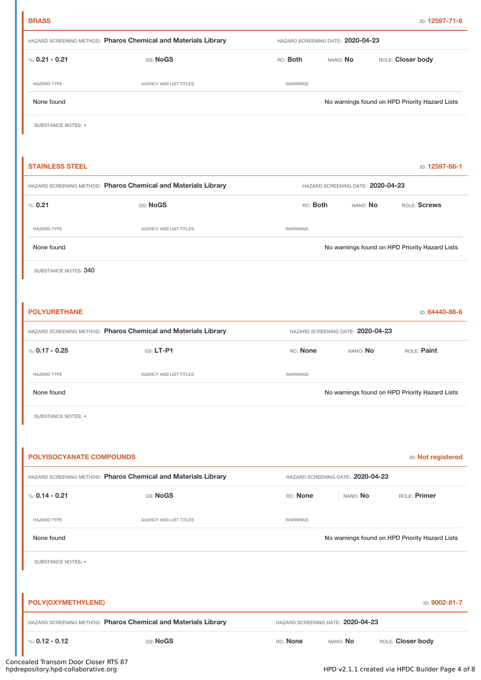| HAZARD SCREENING METHOD: Pharos Chemical and Materials Library<br>HAZARD SCREENING DATE: 2020-04-23 |                                                                |                 |                                   |                                                |  |  |
|-----------------------------------------------------------------------------------------------------|----------------------------------------------------------------|-----------------|-----------------------------------|------------------------------------------------|--|--|
| %: $0.21 - 0.21$                                                                                    | GS: NoGS                                                       | RC: Both        | ROLE: Closer body<br>NANO: No     |                                                |  |  |
| <b>HAZARD TYPE</b>                                                                                  | AGENCY AND LIST TITLES                                         | WARNINGS        |                                   |                                                |  |  |
| None found                                                                                          |                                                                |                 |                                   | No warnings found on HPD Priority Hazard Lists |  |  |
| SUBSTANCE NOTES: -                                                                                  |                                                                |                 |                                   |                                                |  |  |
|                                                                                                     |                                                                |                 |                                   |                                                |  |  |
| <b>STAINLESS STEEL</b>                                                                              |                                                                |                 |                                   | ID: 12597-68-1                                 |  |  |
|                                                                                                     | HAZARD SCREENING METHOD: Pharos Chemical and Materials Library |                 | HAZARD SCREENING DATE: 2020-04-23 |                                                |  |  |
| % 0.21                                                                                              | GS: NoGS                                                       | RC: <b>Both</b> | NANO: No                          | ROLE: Screws                                   |  |  |
| <b>HAZARD TYPE</b>                                                                                  | AGENCY AND LIST TITLES                                         | WARNINGS        |                                   |                                                |  |  |
| None found                                                                                          |                                                                |                 |                                   | No warnings found on HPD Priority Hazard Lists |  |  |
| SUBSTANCE NOTES: 340                                                                                |                                                                |                 |                                   |                                                |  |  |
|                                                                                                     |                                                                |                 |                                   |                                                |  |  |
| <b>POLYURETHANE</b>                                                                                 |                                                                |                 |                                   | ID: 64440-88-6                                 |  |  |
|                                                                                                     | HAZARD SCREENING METHOD: Pharos Chemical and Materials Library |                 | HAZARD SCREENING DATE: 2020-04-23 |                                                |  |  |
| %: $0.17 - 0.25$                                                                                    | $GS: LT-P1$                                                    | RC: None        | NANO: No                          | ROLE: Paint                                    |  |  |
| <b>HAZARD TYPE</b>                                                                                  | AGENCY AND LIST TITLES                                         | WARNINGS        |                                   |                                                |  |  |
| None found                                                                                          |                                                                |                 |                                   | No warnings found on HPD Priority Hazard Lists |  |  |
| SUBSTANCE NOTES: -                                                                                  |                                                                |                 |                                   |                                                |  |  |
|                                                                                                     |                                                                |                 |                                   |                                                |  |  |
| <b>POLYISOCYANATE COMPOUNDS</b>                                                                     |                                                                |                 |                                   | ID: Not registered                             |  |  |
|                                                                                                     | HAZARD SCREENING METHOD: Pharos Chemical and Materials Library |                 | HAZARD SCREENING DATE: 2020-04-23 |                                                |  |  |
| %: $0.14 - 0.21$                                                                                    | GS: NoGS                                                       | RC: None        | NANO: No                          | ROLE: Primer                                   |  |  |
| <b>HAZARD TYPE</b>                                                                                  | AGENCY AND LIST TITLES                                         | WARNINGS        |                                   |                                                |  |  |
| None found                                                                                          |                                                                |                 |                                   | No warnings found on HPD Priority Hazard Lists |  |  |
| SUBSTANCE NOTES: -                                                                                  |                                                                |                 |                                   |                                                |  |  |
|                                                                                                     |                                                                |                 |                                   |                                                |  |  |
| POLY(OXYMETHYLENE)                                                                                  |                                                                |                 |                                   | ID: 9002-81-7                                  |  |  |
|                                                                                                     | HAZARD SCREENING METHOD: Pharos Chemical and Materials Library |                 | HAZARD SCREENING DATE: 2020-04-23 |                                                |  |  |
| %: $0.12 - 0.12$                                                                                    | GS: NoGS                                                       | RC: None        | NANO: No                          | ROLE: Closer body                              |  |  |

**BRASS** ID: **12597-71-6**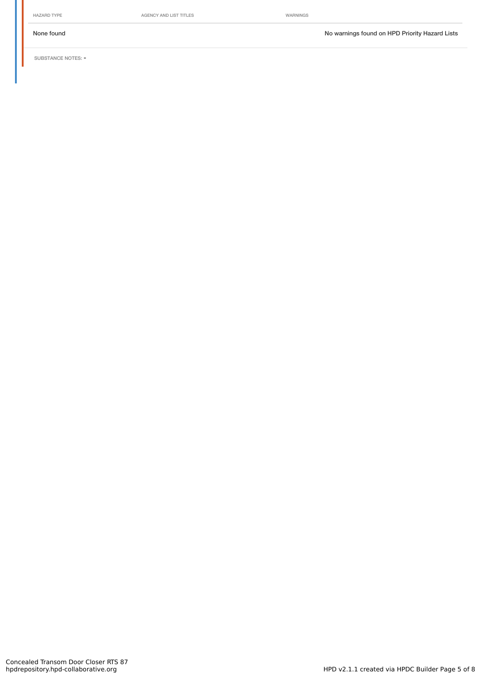HAZARD TYPE **AGENCY AND LIST TITLES** WARNINGS

None found Now arrings found on HPD Priority Hazard Lists

SUBSTANCE NOTES: -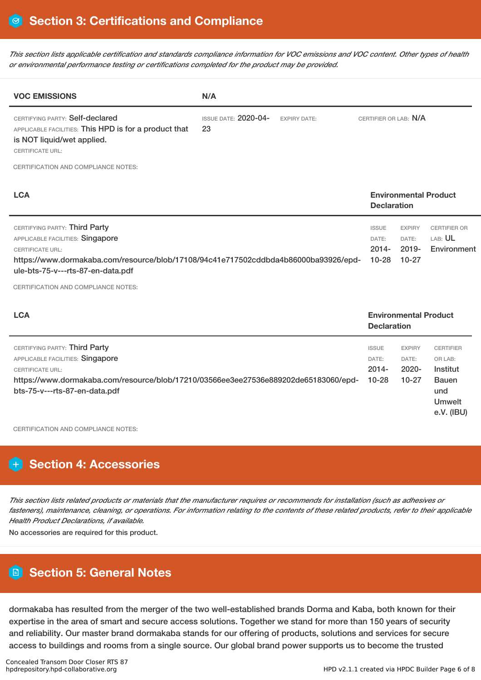This section lists applicable certification and standards compliance information for VOC emissions and VOC content. Other types of health *or environmental performance testing or certifications completed for the product may be provided.*

| <b>VOC EMISSIONS</b>                                                                                                                                                                                                                                            | N/A                               |                     |                                                |                                              |                                                      |
|-----------------------------------------------------------------------------------------------------------------------------------------------------------------------------------------------------------------------------------------------------------------|-----------------------------------|---------------------|------------------------------------------------|----------------------------------------------|------------------------------------------------------|
| CERTIFYING PARTY: Self-declared<br>APPLICABLE FACILITIES: This HPD is for a product that<br>is NOT liquid/wet applied.<br><b>CERTIFICATE URL:</b>                                                                                                               | <b>ISSUE DATE: 2020-04-</b><br>23 | <b>EXPIRY DATE:</b> | CERTIFIER OR LAB: N/A                          |                                              |                                                      |
| CERTIFICATION AND COMPLIANCE NOTES:                                                                                                                                                                                                                             |                                   |                     |                                                |                                              |                                                      |
| <b>LCA</b>                                                                                                                                                                                                                                                      |                                   |                     | <b>Declaration</b>                             |                                              | <b>Environmental Product</b>                         |
| CERTIFYING PARTY: Third Party<br>APPLICABLE FACILITIES: Singapore<br><b>CERTIFICATE URL:</b><br>https://www.dormakaba.com/resource/blob/17108/94c41e717502cddbda4b86000ba93926/epd-<br>ule-bts-75-v---rts-87-en-data.pdf<br>CERTIFICATION AND COMPLIANCE NOTES: |                                   |                     | <b>ISSUE</b><br>DATE:<br>$2014 -$<br>$10 - 28$ | <b>EXPIRY</b><br>DATE:<br>2019-<br>$10 - 27$ | <b>CERTIFIER OR</b><br>LAB: <b>UL</b><br>Environment |

| <b>LCA</b>                                                                                                                                                                                                           |                                             | <b>Environmental Product</b><br><b>Declaration</b> |                                                                                               |  |  |
|----------------------------------------------------------------------------------------------------------------------------------------------------------------------------------------------------------------------|---------------------------------------------|----------------------------------------------------|-----------------------------------------------------------------------------------------------|--|--|
| CERTIFYING PARTY: Third Party<br>APPLICABLE FACILITIES: Singapore<br><b>CERTIFICATE URL:</b><br>https://www.dormakaba.com/resource/blob/17210/03566ee3ee27536e889202de65183060/epd-<br>bts-75-v---rts-87-en-data.pdf | <b>ISSUE</b><br>DATE:<br>2014-<br>$10 - 28$ | <b>EXPIRY</b><br>DATE:<br>$2020 -$<br>$10 - 27$    | <b>CERTIFIER</b><br>OR LAB:<br>Institut<br><b>Bauen</b><br>und<br><b>Umwelt</b><br>e.V. (IBU) |  |  |
|                                                                                                                                                                                                                      |                                             |                                                    |                                                                                               |  |  |

CERTIFICATION AND COMPLIANCE NOTES:

# **H** Section 4: Accessories

This section lists related products or materials that the manufacturer requires or recommends for installation (such as adhesives or fasteners), maintenance, cleaning, or operations. For information relating to the contents of these related products, refer to their applicable *Health Product Declarations, if available.*

No accessories are required for this product.

# **Section 5: General Notes**

dormakaba has resulted from the merger of the two well-established brands Dorma and Kaba, both known for their expertise in the area of smart and secure access solutions. Together we stand for more than 150 years of security and reliability. Our master brand dormakaba stands for our offering of products, solutions and services for secure access to buildings and rooms from a single source. Our global brand power supports us to become the trusted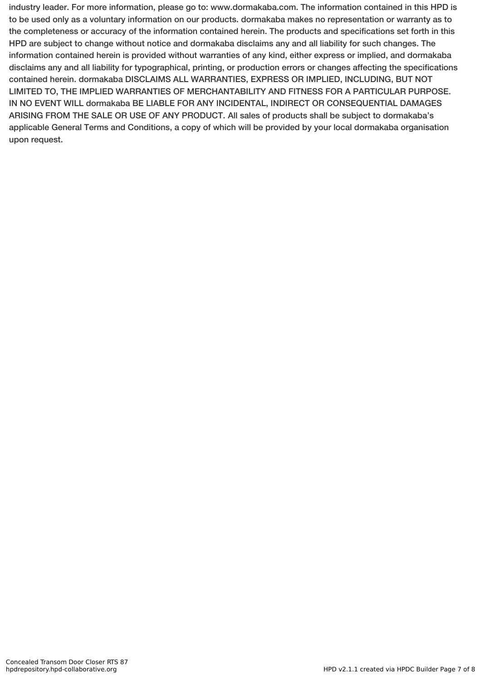industry leader. For more information, please go to: www.dormakaba.com. The information contained in this HPD is to be used only as a voluntary information on our products. dormakaba makes no representation or warranty as to the completeness or accuracy of the information contained herein. The products and specifications set forth in this HPD are subject to change without notice and dormakaba disclaims any and all liability for such changes. The information contained herein is provided without warranties of any kind, either express or implied, and dormakaba disclaims any and all liability for typographical, printing, or production errors or changes affecting the specifications contained herein. dormakaba DISCLAIMS ALL WARRANTIES, EXPRESS OR IMPLIED, INCLUDING, BUT NOT LIMITED TO, THE IMPLIED WARRANTIES OF MERCHANTABILITY AND FITNESS FOR A PARTICULAR PURPOSE. IN NO EVENT WILL dormakaba BE LIABLE FOR ANY INCIDENTAL, INDIRECT OR CONSEQUENTIAL DAMAGES ARISING FROM THE SALE OR USE OF ANY PRODUCT. All sales of products shall be subject to dormakaba's applicable General Terms and Conditions, a copy of which will be provided by your local dormakaba organisation upon request.